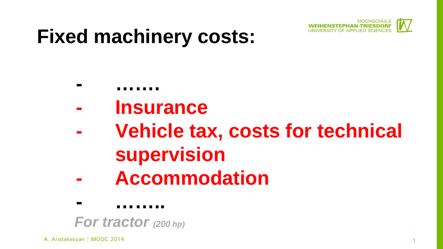

# **Fixed machinery costs:**

- **- …….**
- **- Insurance**
- **- Vehicle tax, costs for technical supervision**
- **- Accommodation**

**- ……..** *For tractor (200 hp)*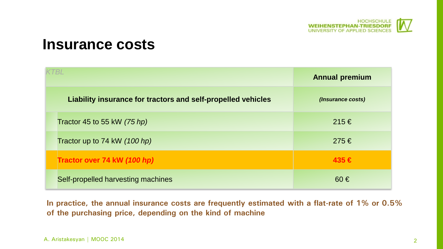

#### **Insurance costs**

| KTBL                                                         | <b>Annual premium</b> |
|--------------------------------------------------------------|-----------------------|
| Liability insurance for tractors and self-propelled vehicles | (Insurance costs)     |
| Tractor 45 to 55 kW $(75 h p)$                               | 215€                  |
| Tractor up to 74 kW (100 hp)                                 | 275€                  |
| Tractor over 74 kW (100 hp)                                  | $435 \in$             |
| Self-propelled harvesting machines                           | $60 \in$              |

**In practice, the annual insurance costs are frequently estimated with a flat-rate of 1% or 0.5% of the purchasing price, depending on the kind of machine**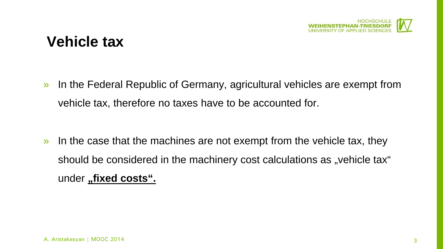

## **Vehicle tax**

» In the Federal Republic of Germany, agricultural vehicles are exempt from vehicle tax, therefore no taxes have to be accounted for.

» In the case that the machines are not exempt from the vehicle tax, they should be considered in the machinery cost calculations as "vehicle tax" under "fixed costs".